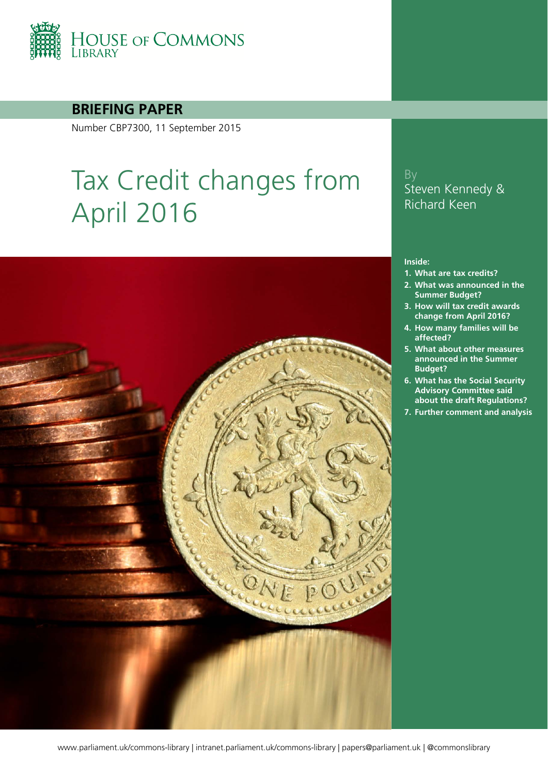

#### **BRIEFING PAPER**

Number CBP7300, 11 September 2015

# Tax Credit changes from April 2016

### By Steven Kennedy & Richard Keen

#### **Inside:**

- **1. [What are tax credits?](#page-3-0)**
- **2. [What was announced in the](#page-5-0)  [Summer Budget?](#page-5-0)**
- **3. [How will tax credit awards](#page-7-0)  [change from April 2016?](#page-7-0)**
- **4. [How many families will be](#page-8-0)  [affected?](#page-8-0)**
- **5. [What about other measures](#page-9-0)  [announced in the Summer](#page-9-0)  [Budget?](#page-9-0)**
- **6. [What has the Social Security](#page-13-0)  [Advisory Committee said](#page-13-0)  [about the draft Regulations?](#page-13-0)**
- **7. [Further comment and analysis](#page-14-0)**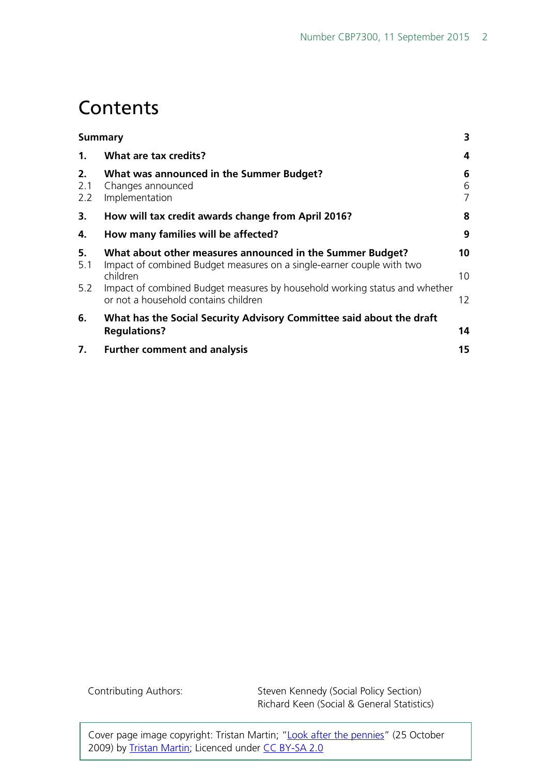### **Contents**

|                  | Summary                                                                                                                                        | 3           |
|------------------|------------------------------------------------------------------------------------------------------------------------------------------------|-------------|
| $\mathbf{1}$ .   | What are tax credits?                                                                                                                          | 4           |
| 2.<br>2.1<br>2.2 | What was announced in the Summer Budget?<br>Changes announced<br>Implementation                                                                | 6<br>6<br>7 |
| 3.               | How will tax credit awards change from April 2016?                                                                                             | 8           |
| 4.               | How many families will be affected?                                                                                                            | 9           |
| 5.<br>5.1        | What about other measures announced in the Summer Budget?<br>Impact of combined Budget measures on a single-earner couple with two<br>children | 10<br>10    |
| 5.2              | Impact of combined Budget measures by household working status and whether<br>or not a household contains children                             | 12          |
| 6.               | What has the Social Security Advisory Committee said about the draft<br><b>Regulations?</b>                                                    | 14          |
| 7.               | <b>Further comment and analysis</b>                                                                                                            | 15          |

Contributing Authors: Steven Kennedy (Social Policy Section) Richard Keen (Social & General Statistics)

Cover page image copyright: Tristan Martin; ["Look after the pennies"](https://www.flickr.com/photos/11738433@N03/4052671706/) (25 October 2009) by [Tristan Martin;](https://www.flickr.com/photos/mukumbura/) Licenced under [CC BY-SA 2.0](https://creativecommons.org/licenses/by-sa/2.0/)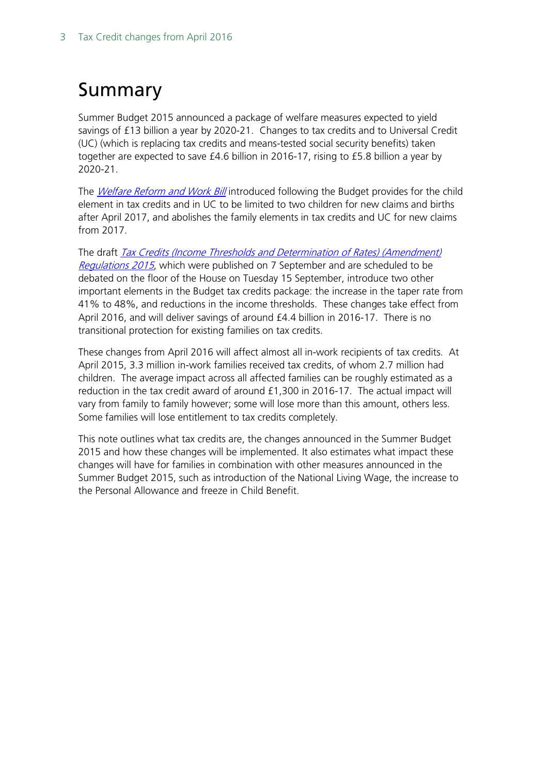# <span id="page-2-0"></span>Summary

Summer Budget 2015 announced a package of welfare measures expected to yield savings of £13 billion a year by 2020-21. Changes to tax credits and to Universal Credit (UC) (which is replacing tax credits and means-tested social security benefits) taken together are expected to save £4.6 billion in 2016-17, rising to £5.8 billion a year by 2020-21.

The *[Welfare Reform and Work Bill](http://researchbriefings.parliament.uk/ResearchBriefing/Summary/CBP-7252)* introduced following the Budget provides for the child element in tax credits and in UC to be limited to two children for new claims and births after April 2017, and abolishes the family elements in tax credits and UC for new claims from 2017.

The draft **Tax Credits (Income Thresholds and Determination of Rates) (Amendment)** [Regulations 2015](http://www.legislation.gov.uk/ukdsi/2015/9780111138946/contents), which were published on 7 September and are scheduled to be debated on the floor of the House on Tuesday 15 September, introduce two other important elements in the Budget tax credits package: the increase in the taper rate from 41% to 48%, and reductions in the income thresholds. These changes take effect from April 2016, and will deliver savings of around £4.4 billion in 2016-17. There is no transitional protection for existing families on tax credits.

These changes from April 2016 will affect almost all in-work recipients of tax credits. At April 2015, 3.3 million in-work families received tax credits, of whom 2.7 million had children. The average impact across all affected families can be roughly estimated as a reduction in the tax credit award of around £1,300 in 2016-17. The actual impact will vary from family to family however; some will lose more than this amount, others less. Some families will lose entitlement to tax credits completely.

This note outlines what tax credits are, the changes announced in the Summer Budget 2015 and how these changes will be implemented. It also estimates what impact these changes will have for families in combination with other measures announced in the Summer Budget 2015, such as introduction of the National Living Wage, the increase to the Personal Allowance and freeze in Child Benefit.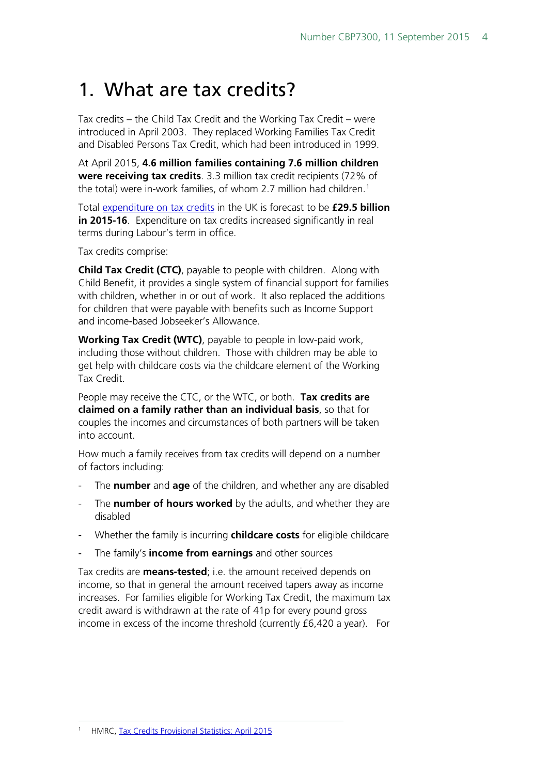# <span id="page-3-0"></span>1. What are tax credits?

Tax credits – the Child Tax Credit and the Working Tax Credit – were introduced in April 2003. They replaced Working Families Tax Credit and Disabled Persons Tax Credit, which had been introduced in 1999.

At April 2015, **4.6 million families containing 7.6 million children were receiving tax credits**. 3.3 million tax credit recipients (72% of the total) were in-work families, of whom 2.7 million had children.<sup>[1](#page-3-1)</sup>

Total [expenditure on tax credits](http://budgetresponsibility.org.uk/pubs/Fiscal_Supplementary_Tables-2015.v3.xlsx) in the UK is forecast to be **£29.5 billion in 2015-16**. Expenditure on tax credits increased significantly in real terms during Labour's term in office.

Tax credits comprise:

**Child Tax Credit (CTC)**, payable to people with children. Along with Child Benefit, it provides a single system of financial support for families with children, whether in or out of work. It also replaced the additions for children that were payable with benefits such as Income Support and income-based Jobseeker's Allowance.

**Working Tax Credit (WTC)**, payable to people in low-paid work, including those without children. Those with children may be able to get help with childcare costs via the childcare element of the Working Tax Credit.

People may receive the CTC, or the WTC, or both. **Tax credits are claimed on a family rather than an individual basis**, so that for couples the incomes and circumstances of both partners will be taken into account.

How much a family receives from tax credits will depend on a number of factors including:

- The **number** and **age** of the children, and whether any are disabled
- The **number of hours worked** by the adults, and whether they are disabled
- Whether the family is incurring **childcare costs** for eligible childcare
- The family's **income from earnings** and other sources

<span id="page-3-1"></span>Tax credits are **means-tested**; i.e. the amount received depends on income, so that in general the amount received tapers away as income increases. For families eligible for Working Tax Credit, the maximum tax credit award is withdrawn at the rate of 41p for every pound gross income in excess of the income threshold (currently £6,420 a year). For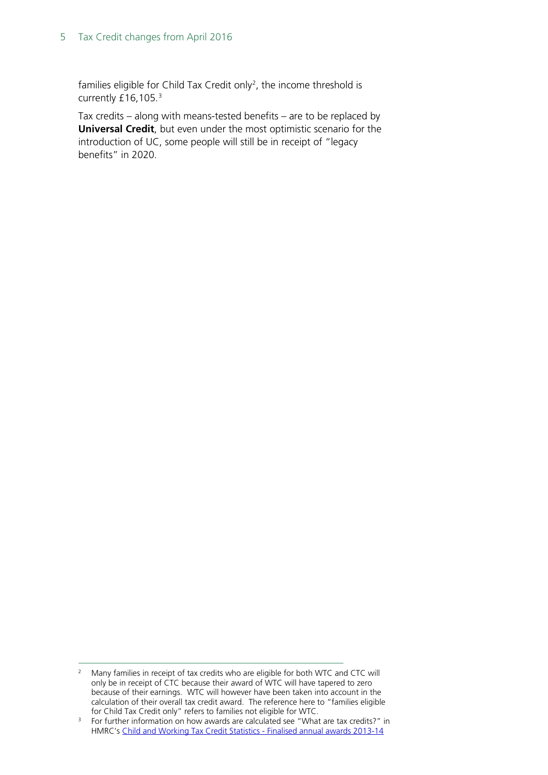#### 5 Tax Credit changes from April 2016

families eligible for Child Tax Credit only<sup>2</sup>, the income threshold is currently £16,105.<sup>[3](#page-4-1)</sup>

Tax credits – along with means-tested benefits – are to be replaced by **Universal Credit**, but even under the most optimistic scenario for the introduction of UC, some people will still be in receipt of "legacy benefits" in 2020.

<span id="page-4-0"></span><sup>&</sup>lt;sup>2</sup> Many families in receipt of tax credits who are eligible for both WTC and CTC will only be in receipt of CTC because their award of WTC will have tapered to zero because of their earnings. WTC will however have been taken into account in the calculation of their overall tax credit award. The reference here to "families eligible for Child Tax Credit only" refers to families not eligible for WTC.

<span id="page-4-1"></span><sup>&</sup>lt;sup>3</sup> For further information on how awards are calculated see "What are tax credits?" in HMRC's [Child and Working Tax Credit Statistics -](https://www.gov.uk/government/uploads/system/uploads/attachment_data/file/430534/cwtc_Finalised_annual_awards_2013-14.pdf) Finalised annual awards 2013-14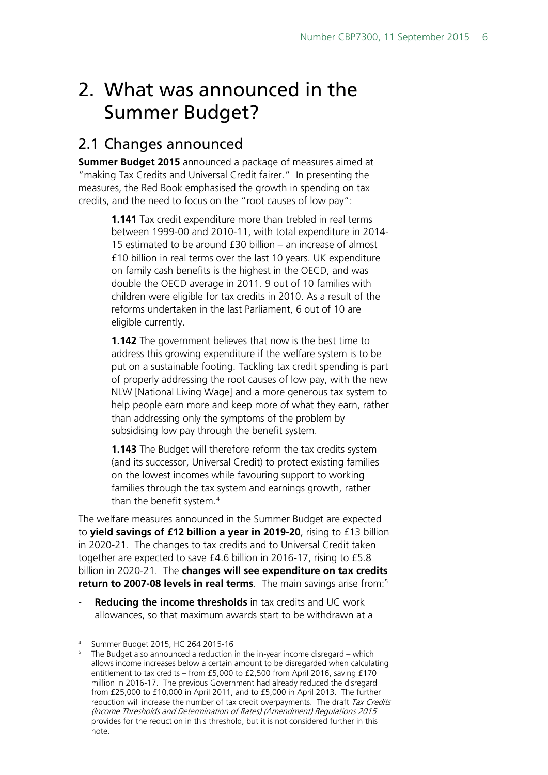# <span id="page-5-0"></span>2. What was announced in the Summer Budget?

### <span id="page-5-1"></span>2.1 Changes announced

**Summer Budget 2015** announced a package of measures aimed at "making Tax Credits and Universal Credit fairer." In presenting the measures, the Red Book emphasised the growth in spending on tax credits, and the need to focus on the "root causes of low pay":

> **1.141** Tax credit expenditure more than trebled in real terms between 1999-00 and 2010-11, with total expenditure in 2014- 15 estimated to be around £30 billion – an increase of almost £10 billion in real terms over the last 10 years. UK expenditure on family cash benefits is the highest in the OECD, and was double the OECD average in 2011. 9 out of 10 families with children were eligible for tax credits in 2010. As a result of the reforms undertaken in the last Parliament, 6 out of 10 are eligible currently.

> **1.142** The government believes that now is the best time to address this growing expenditure if the welfare system is to be put on a sustainable footing. Tackling tax credit spending is part of properly addressing the root causes of low pay, with the new NLW [National Living Wage] and a more generous tax system to help people earn more and keep more of what they earn, rather than addressing only the symptoms of the problem by subsidising low pay through the benefit system.

**1.143** The Budget will therefore reform the tax credits system (and its successor, Universal Credit) to protect existing families on the lowest incomes while favouring support to working families through the tax system and earnings growth, rather than the benefit system.<sup>[4](#page-5-2)</sup>

The welfare measures announced in the Summer Budget are expected to **yield savings of £12 billion a year in 2019-20**, rising to £13 billion in 2020-21. The changes to tax credits and to Universal Credit taken together are expected to save £4.6 billion in 2016-17, rising to £5.8 billion in 2020-21. The **changes will see expenditure on tax credits return to 2007-08 levels in real terms**. The main savings arise from:<sup>[5](#page-5-3)</sup>

**Reducing the income thresholds** in tax credits and UC work allowances, so that maximum awards start to be withdrawn at a

<span id="page-5-3"></span><span id="page-5-2"></span><sup>&</sup>lt;sup>4</sup> Summer Budget 2015, HC 264 2015-16

The Budget also announced a reduction in the in-year income disregard – which allows income increases below a certain amount to be disregarded when calculating entitlement to tax credits – from £5,000 to £2,500 from April 2016, saving £170 million in 2016-17. The previous Government had already reduced the disregard from £25,000 to £10,000 in April 2011, and to £5,000 in April 2013. The further reduction will increase the number of tax credit overpayments. The draft Tax Credits (Income Thresholds and Determination of Rates) (Amendment) Regulations 2015 provides for the reduction in this threshold, but it is not considered further in this note.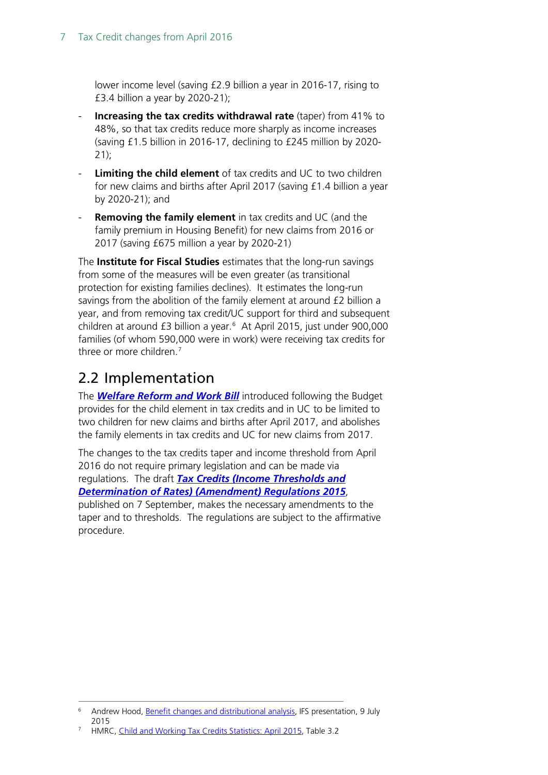lower income level (saving £2.9 billion a year in 2016-17, rising to £3.4 billion a year by 2020-21);

- **Increasing the tax credits withdrawal rate** (taper) from 41% to 48%, so that tax credits reduce more sharply as income increases (saving £1.5 billion in 2016-17, declining to £245 million by 2020-  $21$ ;
- **Limiting the child element** of tax credits and UC to two children for new claims and births after April 2017 (saving £1.4 billion a year by 2020-21); and
- **Removing the family element** in tax credits and UC (and the family premium in Housing Benefit) for new claims from 2016 or 2017 (saving £675 million a year by 2020-21)

The **Institute for Fiscal Studies** estimates that the long-run savings from some of the measures will be even greater (as transitional protection for existing families declines). It estimates the long-run savings from the abolition of the family element at around £2 billion a year, and from removing tax credit/UC support for third and subsequent children at around £3 billion a year[.6](#page-6-1) At April 2015, just under 900,000 families (of whom 590,000 were in work) were receiving tax credits for three or more children.[7](#page-6-2)

### <span id="page-6-0"></span>2.2 Implementation

The *[Welfare Reform and Work Bill](http://researchbriefings.parliament.uk/ResearchBriefing/Summary/CBP-7252)* introduced following the Budget provides for the child element in tax credits and in UC to be limited to two children for new claims and births after April 2017, and abolishes the family elements in tax credits and UC for new claims from 2017.

The changes to the tax credits taper and income threshold from April 2016 do not require primary legislation and can be made via regulations. The draft *[Tax Credits \(Income Thresholds and](http://www.legislation.gov.uk/ukdsi/2015/9780111138946/contents)  [Determination of Rates\) \(Amendment\) Regulations 2015](http://www.legislation.gov.uk/ukdsi/2015/9780111138946/contents)*,

published on 7 September, makes the necessary amendments to the taper and to thresholds. The regulations are subject to the affirmative procedure.

<span id="page-6-1"></span> <sup>6</sup> Andrew Hood, [Benefit changes and distributional analysis,](http://www.ifs.org.uk/publications/7855) IFS presentation, 9 July 2015

<span id="page-6-2"></span><sup>7</sup> HMRC, [Child and Working Tax Credits Statistics: April 2015,](https://www.gov.uk/government/statistics/personal-tax-credits-provisional-statistics-2013-to-2009) Table 3.2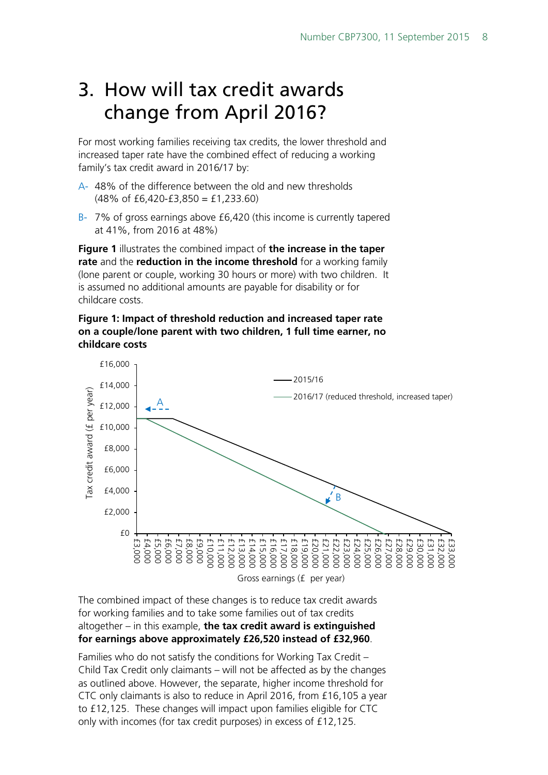### <span id="page-7-0"></span>3. How will tax credit awards change from April 2016?

For most working families receiving tax credits, the lower threshold and increased taper rate have the combined effect of reducing a working family's tax credit award in 2016/17 by:

- A- 48% of the difference between the old and new thresholds  $(48\% \text{ of } \text{£}6.420-\text{£}3.850 = \text{£}1,233.60)$
- B- 7% of gross earnings above £6,420 (this income is currently tapered at 41%, from 2016 at 48%)

**Figure 1** illustrates the combined impact of **the increase in the taper rate** and the **reduction in the income threshold** for a working family (lone parent or couple, working 30 hours or more) with two children. It is assumed no additional amounts are payable for disability or for childcare costs.

#### **Figure 1: Impact of threshold reduction and increased taper rate on a couple/lone parent with two children, 1 full time earner, no childcare costs**



The combined impact of these changes is to reduce tax credit awards for working families and to take some families out of tax credits altogether – in this example, **the tax credit award is extinguished for earnings above approximately £26,520 instead of £32,960**.

Families who do not satisfy the conditions for Working Tax Credit – Child Tax Credit only claimants – will not be affected as by the changes as outlined above. However, the separate, higher income threshold for CTC only claimants is also to reduce in April 2016, from £16,105 a year to £12,125. These changes will impact upon families eligible for CTC only with incomes (for tax credit purposes) in excess of £12,125.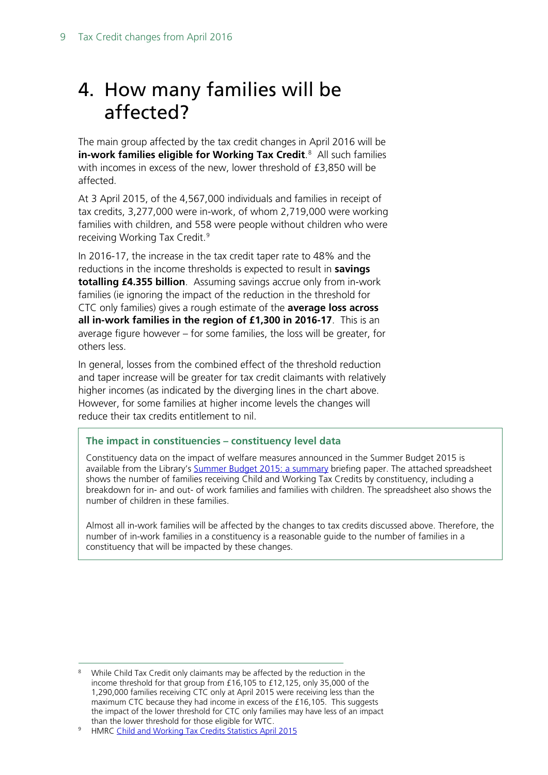# <span id="page-8-0"></span>4. How many families will be affected?

The main group affected by the tax credit changes in April 2016 will be **in-work families eligible for Working Tax Credit**. [8](#page-8-1) All such families with incomes in excess of the new, lower threshold of £3,850 will be affected.

At 3 April 2015, of the 4,567,000 individuals and families in receipt of tax credits, 3,277,000 were in-work, of whom 2,719,000 were working families with children, and 558 were people without children who were receiving Working Tax Credit.<sup>[9](#page-8-2)</sup>

In 2016-17, the increase in the tax credit taper rate to 48% and the reductions in the income thresholds is expected to result in **savings totalling £4.355 billion**. Assuming savings accrue only from in-work families (ie ignoring the impact of the reduction in the threshold for CTC only families) gives a rough estimate of the **average loss across all in-work families in the region of £1,300 in 2016-17**. This is an average figure however – for some families, the loss will be greater, for others less.

In general, losses from the combined effect of the threshold reduction and taper increase will be greater for tax credit claimants with relatively higher incomes (as indicated by the diverging lines in the chart above. However, for some families at higher income levels the changes will reduce their tax credits entitlement to nil.

#### **The impact in constituencies – constituency level data**

Constituency data on the impact of welfare measures announced in the Summer Budget 2015 is available from the Library's [Summer Budget 2015: a summary](http://researchbriefings.parliament.uk/ResearchBriefing/Summary/CBP-7251) briefing paper. The attached spreadsheet shows the number of families receiving Child and Working Tax Credits by constituency, including a breakdown for in- and out- of work families and families with children. The spreadsheet also shows the number of children in these families.

Almost all in-work families will be affected by the changes to tax credits discussed above. Therefore, the number of in-work families in a constituency is a reasonable guide to the number of families in a constituency that will be impacted by these changes.

<span id="page-8-1"></span>While Child Tax Credit only claimants may be affected by the reduction in the income threshold for that group from £16,105 to £12,125, only 35,000 of the 1,290,000 families receiving CTC only at April 2015 were receiving less than the maximum CTC because they had income in excess of the £16,105. This suggests the impact of the lower threshold for CTC only families may have less of an impact than the lower threshold for those eligible for WTC.

<span id="page-8-2"></span><sup>9</sup> HMRC [Child and Working Tax Credits Statistics April 2015](https://www.gov.uk/government/statistics/personal-tax-credits-provisional-statistics-2013-to-2009)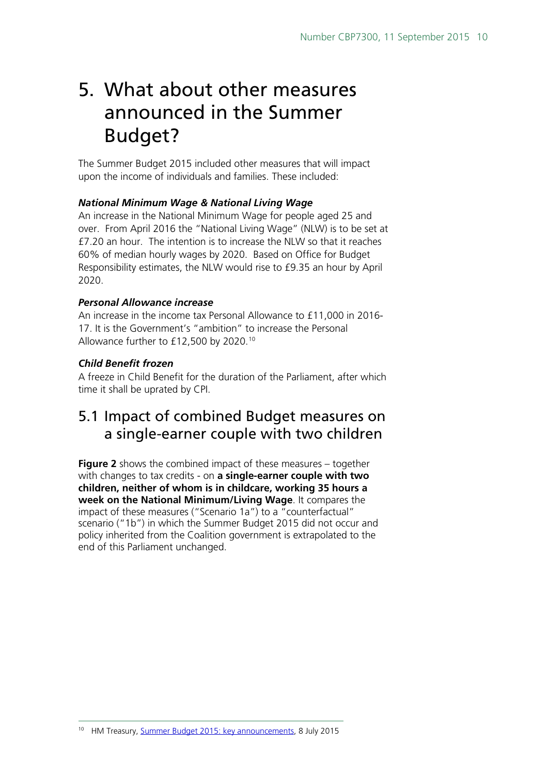### <span id="page-9-0"></span>5. What about other measures announced in the Summer Budget?

The Summer Budget 2015 included other measures that will impact upon the income of individuals and families. These included:

#### *National Minimum Wage & National Living Wage*

An increase in the National Minimum Wage for people aged 25 and over. From April 2016 the "National Living Wage" (NLW) is to be set at £7.20 an hour. The intention is to increase the NLW so that it reaches 60% of median hourly wages by 2020. Based on Office for Budget Responsibility estimates, the NLW would rise to £9.35 an hour by April 2020.

#### *Personal Allowance increase*

An increase in the income tax Personal Allowance to £11,000 in 2016- 17. It is the Government's "ambition" to increase the Personal Allowance further to £12,500 by 2020.[10](#page-9-2)

#### *Child Benefit frozen*

A freeze in Child Benefit for the duration of the Parliament, after which time it shall be uprated by CPI.

### <span id="page-9-1"></span>5.1 Impact of combined Budget measures on a single-earner couple with two children

**Figure 2** shows the combined impact of these measures – together with changes to tax credits - on **a single-earner couple with two children, neither of whom is in childcare, working 35 hours a week on the National Minimum/Living Wage**. It compares the impact of these measures ("Scenario 1a") to a "counterfactual" scenario ("1b") in which the Summer Budget 2015 did not occur and policy inherited from the Coalition government is extrapolated to the end of this Parliament unchanged.

<span id="page-9-2"></span> <sup>10</sup> HM Treasury, [Summer Budget 2015: key announcements,](https://www.gov.uk/government/news/summer-budget-2015-key-announcements) 8 July 2015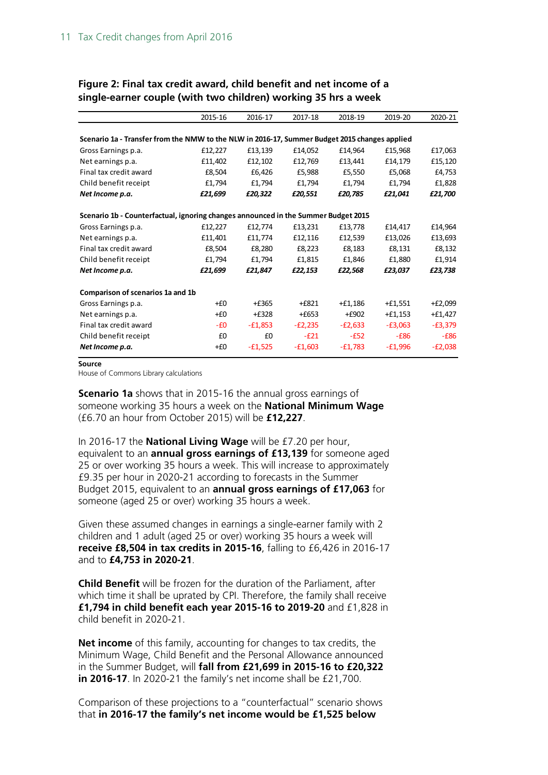|                                                                                               | 2015-16 | 2016-17   | 2017-18   | 2018-19   | 2019-20   | 2020-21   |  |  |  |  |  |
|-----------------------------------------------------------------------------------------------|---------|-----------|-----------|-----------|-----------|-----------|--|--|--|--|--|
|                                                                                               |         |           |           |           |           |           |  |  |  |  |  |
| Scenario 1a - Transfer from the NMW to the NLW in 2016-17, Summer Budget 2015 changes applied |         |           |           |           |           |           |  |  |  |  |  |
| Gross Earnings p.a.                                                                           | £12,227 | £13,139   | £14,052   | £14,964   | £15,968   | £17,063   |  |  |  |  |  |
| Net earnings p.a.                                                                             | £11,402 | £12,102   | £12,769   | £13,441   | £14,179   | £15,120   |  |  |  |  |  |
| Final tax credit award                                                                        | £8,504  | £6,426    | £5,988    | £5,550    | £5,068    | £4,753    |  |  |  |  |  |
| Child benefit receipt                                                                         | £1,794  | £1,794    | £1,794    | £1,794    | £1,794    | £1,828    |  |  |  |  |  |
| Net Income p.a.                                                                               | £21,699 | £20,322   | £20,551   | £20,785   | £21,041   | £21,700   |  |  |  |  |  |
| Scenario 1b - Counterfactual, ignoring changes announced in the Summer Budget 2015            |         |           |           |           |           |           |  |  |  |  |  |
| Gross Earnings p.a.                                                                           | £12,227 | £12,774   | £13,231   | £13,778   | £14,417   | £14,964   |  |  |  |  |  |
| Net earnings p.a.                                                                             | £11,401 | £11,774   | £12,116   | £12,539   | £13,026   | £13,693   |  |  |  |  |  |
| Final tax credit award                                                                        | £8,504  | £8,280    | £8,223    | £8,183    | £8,131    | £8,132    |  |  |  |  |  |
| Child benefit receipt                                                                         | £1,794  | £1,794    | £1,815    | £1,846    | £1,880    | £1,914    |  |  |  |  |  |
| Net Income p.a.                                                                               | £21,699 | £21,847   | £22,153   | £22,568   | £23,037   | £23,738   |  |  |  |  |  |
| Comparison of scenarios 1a and 1b                                                             |         |           |           |           |           |           |  |  |  |  |  |
| Gross Earnings p.a.                                                                           | $+E0$   | $+£365$   | $+£821$   | $+£1,186$ | $+£1,551$ | $+£2,099$ |  |  |  |  |  |
| Net earnings p.a.                                                                             | +£0     | $+£328$   | $+£653$   | $+£902$   | $+£1,153$ | $+£1,427$ |  |  |  |  |  |
| Final tax credit award                                                                        | -£0     | $-£1,853$ | $-E2,235$ | $-E2,633$ | $-E3,063$ | $-E3,379$ |  |  |  |  |  |
| Child benefit receipt                                                                         | £0      | £0        | $-E21$    | $-E52$    | $-E86$    | $-E86$    |  |  |  |  |  |
| Net Income p.a.                                                                               | $+E0$   | $-£1,525$ | $-£1,603$ | $-£1,783$ | $-£1,996$ | $-E2,038$ |  |  |  |  |  |

#### **Figure 2: Final tax credit award, child benefit and net income of a single-earner couple (with two children) working 35 hrs a week**

#### **Source**

House of Commons Library calculations

**Scenario 1a** shows that in 2015-16 the annual gross earnings of someone working 35 hours a week on the **National Minimum Wage** (£6.70 an hour from October 2015) will be **£12,227**.

In 2016-17 the **National Living Wage** will be £7.20 per hour, equivalent to an **annual gross earnings of £13,139** for someone aged 25 or over working 35 hours a week. This will increase to approximately £9.35 per hour in 2020-21 according to forecasts in the Summer Budget 2015, equivalent to an **annual gross earnings of £17,063** for someone (aged 25 or over) working 35 hours a week.

Given these assumed changes in earnings a single-earner family with 2 children and 1 adult (aged 25 or over) working 35 hours a week will **receive £8,504 in tax credits in 2015-16**, falling to £6,426 in 2016-17 and to **£4,753 in 2020-21**.

**Child Benefit** will be frozen for the duration of the Parliament, after which time it shall be uprated by CPI. Therefore, the family shall receive **£1,794 in child benefit each year 2015-16 to 2019-20** and £1,828 in child benefit in 2020-21.

**Net income** of this family, accounting for changes to tax credits, the Minimum Wage, Child Benefit and the Personal Allowance announced in the Summer Budget, will **fall from £21,699 in 2015-16 to £20,322 in 2016-17**. In 2020-21 the family's net income shall be £21,700.

Comparison of these projections to a "counterfactual" scenario shows that **in 2016-17 the family's net income would be £1,525 below**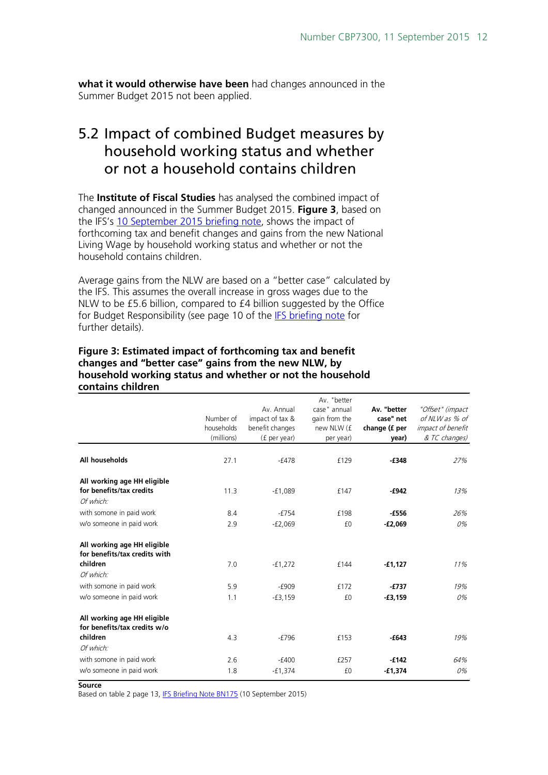**what it would otherwise have been** had changes announced in the Summer Budget 2015 not been applied.

### <span id="page-11-0"></span>5.2 Impact of combined Budget measures by household working status and whether or not a household contains children

The **Institute of Fiscal Studies** has analysed the combined impact of changed announced in the Summer Budget 2015. **Figure 3**, based on the IFS's [10 September 2015 briefing note,](http://www.ifs.org.uk/publications/7975) shows the impact of forthcoming tax and benefit changes and gains from the new National Living Wage by household working status and whether or not the household contains children.

Average gains from the NLW are based on a "better case" calculated by the IFS. This assumes the overall increase in gross wages due to the NLW to be £5.6 billion, compared to £4 billion suggested by the Office for Budget Responsibility (see page 10 of the [IFS briefing note](http://www.ifs.org.uk/publications/7975) for further details).

#### **Figure 3: Estimated impact of forthcoming tax and benefit changes and "better case" gains from the new NLW, by household working status and whether or not the household contains children**

|                                                                          | Number of<br>households<br>(millions) | Av. Annual<br>impact of tax &<br>benefit changes<br>(f per year) | Av. "better<br>case" annual<br>gain from the<br>new NLW (f<br>per year) | Av. "better<br>case" net<br>change (f per<br>year) | "Offset" (impact<br>of NLW as % of<br><i>impact of benefit</i><br>& TC changes) |
|--------------------------------------------------------------------------|---------------------------------------|------------------------------------------------------------------|-------------------------------------------------------------------------|----------------------------------------------------|---------------------------------------------------------------------------------|
| All households                                                           | 27.1                                  | $-f478$                                                          | £129                                                                    | $-£348$                                            | 27%                                                                             |
| All working age HH eligible<br>for benefits/tax credits<br>Of which:     | 11.3                                  | $-f1,089$                                                        | £147                                                                    | $-6942$                                            | 13%                                                                             |
| with somone in paid work                                                 | 8.4                                   | $-£754$                                                          | £198                                                                    | $-£556$                                            | 26%                                                                             |
| w/o someone in paid work                                                 | 2.9                                   | $-£2,069$                                                        | £0                                                                      | $-E2,069$                                          | 0%                                                                              |
| All working age HH eligible<br>for benefits/tax credits with<br>children | 7.0                                   | $-f1,272$                                                        | £144                                                                    | $-£1,127$                                          | 11%                                                                             |
| Of which:                                                                |                                       |                                                                  |                                                                         |                                                    |                                                                                 |
| with somone in paid work                                                 | 5.9                                   | $-f909$                                                          | £172                                                                    | $-£737$                                            | 19%                                                                             |
| w/o someone in paid work                                                 | 1.1                                   | $-£3,159$                                                        | £0                                                                      | $-£3,159$                                          | 0%                                                                              |
| All working age HH eligible<br>for benefits/tax credits w/o              |                                       |                                                                  |                                                                         |                                                    |                                                                                 |
| children                                                                 | 4.3                                   | $-£796$                                                          | £153                                                                    | $-643$                                             | 19%                                                                             |
| Of which:                                                                |                                       |                                                                  |                                                                         |                                                    |                                                                                 |
| with somone in paid work                                                 | 2.6                                   | $-£400$                                                          | £257                                                                    | $-f142$                                            | 64%                                                                             |
| w/o someone in paid work                                                 | 1.8                                   | $-£1,374$                                                        | £0                                                                      | $-£1,374$                                          | 0%                                                                              |

**Source**

Based on table 2 page 13[, IFS Briefing Note BN175](http://www.ifs.org.uk/uploads/publications/bns/BN175.pdf) (10 September 2015)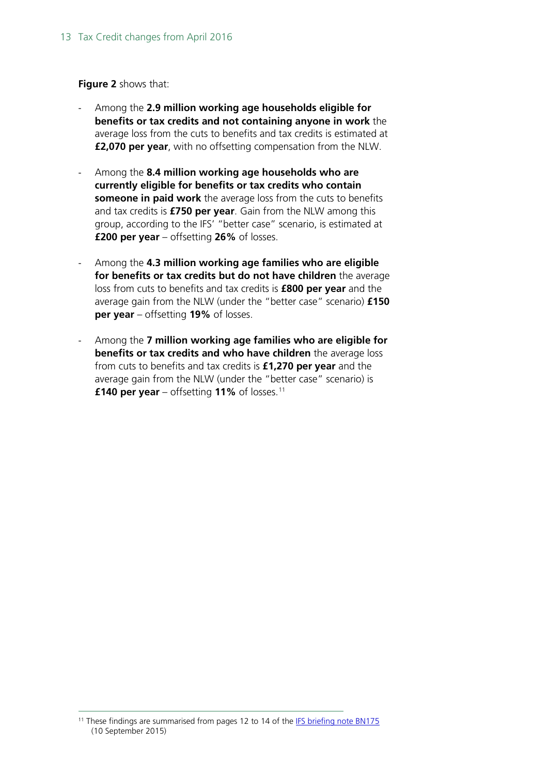#### **Figure 2** shows that:

- Among the **2.9 million working age households eligible for benefits or tax credits and not containing anyone in work** the average loss from the cuts to benefits and tax credits is estimated at **£2,070 per year**, with no offsetting compensation from the NLW.
- Among the **8.4 million working age households who are currently eligible for benefits or tax credits who contain someone in paid work** the average loss from the cuts to benefits and tax credits is **£750 per year**. Gain from the NLW among this group, according to the IFS' "better case" scenario, is estimated at **£200 per year** – offsetting **26%** of losses.
- Among the **4.3 million working age families who are eligible for benefits or tax credits but do not have children** the average loss from cuts to benefits and tax credits is **£800 per year** and the average gain from the NLW (under the "better case" scenario) **£150 per year** – offsetting **19%** of losses.
- Among the **7 million working age families who are eligible for benefits or tax credits and who have children** the average loss from cuts to benefits and tax credits is **£1,270 per year** and the average gain from the NLW (under the "better case" scenario) is **£140 per year** – offsetting **11%** of losses.[11](#page-12-0)

<span id="page-12-0"></span><sup>&</sup>lt;sup>11</sup> These findings are summarised from pages 12 to 14 of the [IFS briefing note BN175](http://www.ifs.org.uk/publications/7975) (10 September 2015)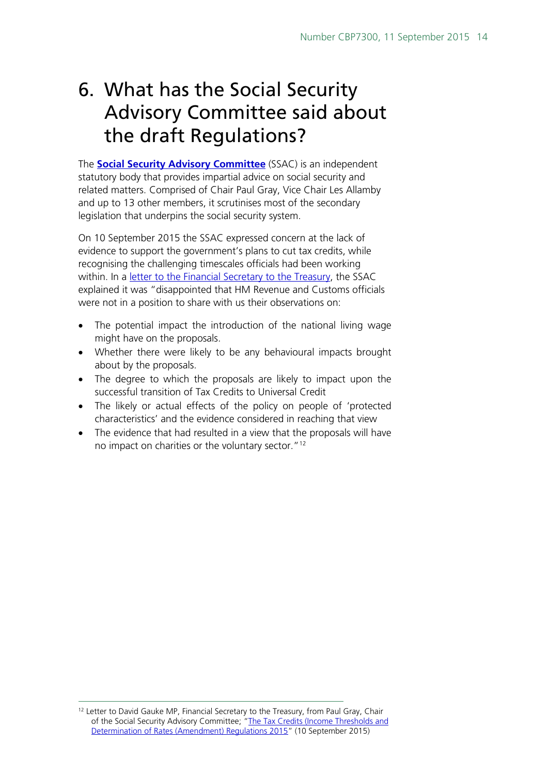# <span id="page-13-0"></span>6. What has the Social Security Advisory Committee said about the draft Regulations?

The **[Social Security Advisory Committee](https://www.gov.uk/government/organisations/social-security-advisory-committee)** (SSAC) is an independent statutory body that provides impartial advice on social security and related matters. Comprised of Chair Paul Gray, Vice Chair Les Allamby and up to 13 other members, it scrutinises most of the secondary legislation that underpins the social security system.

On 10 September 2015 the SSAC expressed concern at the lack of evidence to support the government's plans to cut tax credits, while recognising the challenging timescales officials had been working within. In a [letter to the Financial Secretary to the Treasury,](https://www.gov.uk/government/uploads/system/uploads/attachment_data/file/459498/ssac-letter-to_david-gauke-re-tax-credits-and-work-allowance.pdf) the SSAC explained it was "disappointed that HM Revenue and Customs officials were not in a position to share with us their observations on:

- The potential impact the introduction of the national living wage might have on the proposals.
- Whether there were likely to be any behavioural impacts brought about by the proposals.
- The degree to which the proposals are likely to impact upon the successful transition of Tax Credits to Universal Credit
- The likely or actual effects of the policy on people of 'protected characteristics' and the evidence considered in reaching that view
- The evidence that had resulted in a view that the proposals will have no impact on charities or the voluntary sector.["12](#page-13-1)

<span id="page-13-1"></span><sup>&</sup>lt;sup>12</sup> Letter to David Gauke MP, Financial Secretary to the Treasury, from Paul Gray, Chair of the Social Security Advisory Committee; ["The Tax Credits \(Income Thresholds and](https://www.gov.uk/government/uploads/system/uploads/attachment_data/file/459498/ssac-letter-to_david-gauke-re-tax-credits-and-work-allowance.pdf)  Determination of Rates [\(Amendment\) Regulations 2015"](https://www.gov.uk/government/uploads/system/uploads/attachment_data/file/459498/ssac-letter-to_david-gauke-re-tax-credits-and-work-allowance.pdf) (10 September 2015)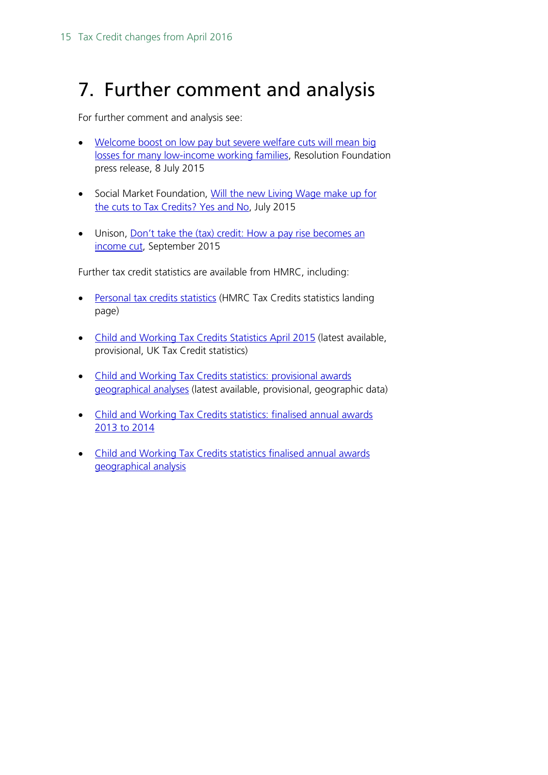# <span id="page-14-0"></span>7. Further comment and analysis

For further comment and analysis see:

- [Welcome boost on low pay but severe welfare cuts will mean big](http://www.resolutionfoundation.org/media/press-releases/welcome-boost-on-low-pay-but-severe-welfare-cuts-will-mean-big-losses-for-many-low-income-working-families/)  [losses for many low-income working families,](http://www.resolutionfoundation.org/media/press-releases/welcome-boost-on-low-pay-but-severe-welfare-cuts-will-mean-big-losses-for-many-low-income-working-families/) Resolution Foundation press release, 8 July 2015
- Social Market Foundation, Will the new Living Wage make up for [the cuts to Tax Credits? Yes and No,](http://www.smf.co.uk/will-the-new-living-wage-make-up-for-the-cuts-to-tax-credits/) July 2015
- Unison, Don't take the (tax) credit: How a pay rise becomes an [income cut,](https://www.unison.org.uk/content/uploads/2015/09/233951.pdf) September 2015

Further tax credit statistics are available from HMRC, including:

- [Personal tax credits statistics](https://www.gov.uk/government/collections/personal-tax-credits-statistics) (HMRC Tax Credits statistics landing page)
- [Child and Working Tax Credits Statistics April 2015](https://www.gov.uk/government/statistics/personal-tax-credits-provisional-statistics-2013-to-2009) (latest available, provisional, UK Tax Credit statistics)
- [Child and Working Tax Credits statistics: provisional awards](https://www.gov.uk/government/statistics/child-and-working-tax-credits-statistics-provisional-awards-geographical-analyses-december-2013)  [geographical analyses](https://www.gov.uk/government/statistics/child-and-working-tax-credits-statistics-provisional-awards-geographical-analyses-december-2013) (latest available, provisional, geographic data)
- [Child and Working Tax Credits statistics: finalised annual awards](https://www.gov.uk/government/statistics/child-and-working-tax-credits-statistics-finalised-annual-awards-2013-to-2014)  [2013 to 2014](https://www.gov.uk/government/statistics/child-and-working-tax-credits-statistics-finalised-annual-awards-2013-to-2014)
- [Child and Working Tax Credits statistics finalised annual awards](https://www.gov.uk/government/statistics/personal-tax-credits-finalised-award-statistics-geographical-statistics-2013-to-2014)  [geographical analysis](https://www.gov.uk/government/statistics/personal-tax-credits-finalised-award-statistics-geographical-statistics-2013-to-2014)